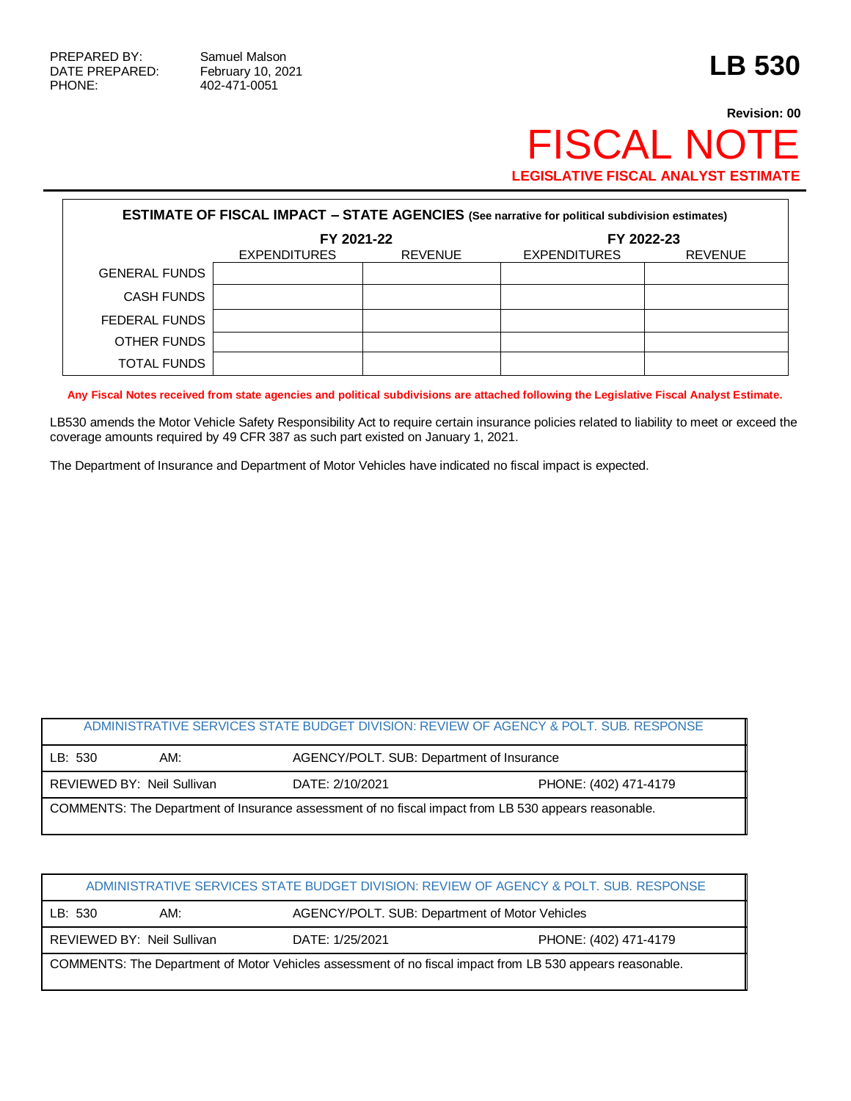PHONE: 402-471-0051

## **Revision: 00** FISCAL NOTE **LEGISLATIVE FISCAL ANALYST ESTIMATE**

| <b>ESTIMATE OF FISCAL IMPACT - STATE AGENCIES (See narrative for political subdivision estimates)</b> |                     |                |                     |                |  |  |
|-------------------------------------------------------------------------------------------------------|---------------------|----------------|---------------------|----------------|--|--|
|                                                                                                       | FY 2021-22          |                | FY 2022-23          |                |  |  |
|                                                                                                       | <b>EXPENDITURES</b> | <b>REVENUE</b> | <b>EXPENDITURES</b> | <b>REVENUE</b> |  |  |
| <b>GENERAL FUNDS</b>                                                                                  |                     |                |                     |                |  |  |
| <b>CASH FUNDS</b>                                                                                     |                     |                |                     |                |  |  |
| FEDERAL FUNDS                                                                                         |                     |                |                     |                |  |  |
| OTHER FUNDS                                                                                           |                     |                |                     |                |  |  |
| TOTAL FUNDS                                                                                           |                     |                |                     |                |  |  |

**Any Fiscal Notes received from state agencies and political subdivisions are attached following the Legislative Fiscal Analyst Estimate.**

LB530 amends the Motor Vehicle Safety Responsibility Act to require certain insurance policies related to liability to meet or exceed the coverage amounts required by 49 CFR 387 as such part existed on January 1, 2021.

The Department of Insurance and Department of Motor Vehicles have indicated no fiscal impact is expected.

| ADMINISTRATIVE SERVICES STATE BUDGET DIVISION: REVIEW OF AGENCY & POLT. SUB. RESPONSE                |                            |                 |                                           |  |  |
|------------------------------------------------------------------------------------------------------|----------------------------|-----------------|-------------------------------------------|--|--|
| LB: 530                                                                                              | AM:                        |                 | AGENCY/POLT. SUB: Department of Insurance |  |  |
|                                                                                                      | REVIEWED BY: Neil Sullivan | DATE: 2/10/2021 | PHONE: (402) 471-4179                     |  |  |
| COMMENTS: The Department of Insurance assessment of no fiscal impact from LB 530 appears reasonable. |                            |                 |                                           |  |  |

| ADMINISTRATIVE SERVICES STATE BUDGET DIVISION: REVIEW OF AGENCY & POLT. SUB. RESPONSE                     |                                                       |  |  |  |
|-----------------------------------------------------------------------------------------------------------|-------------------------------------------------------|--|--|--|
| LB: 530                                                                                                   | AGENCY/POLT. SUB: Department of Motor Vehicles<br>AM: |  |  |  |
| REVIEWED BY: Neil Sullivan<br>DATE: 1/25/2021<br>PHONE: (402) 471-4179                                    |                                                       |  |  |  |
| COMMENTS: The Department of Motor Vehicles assessment of no fiscal impact from LB 530 appears reasonable. |                                                       |  |  |  |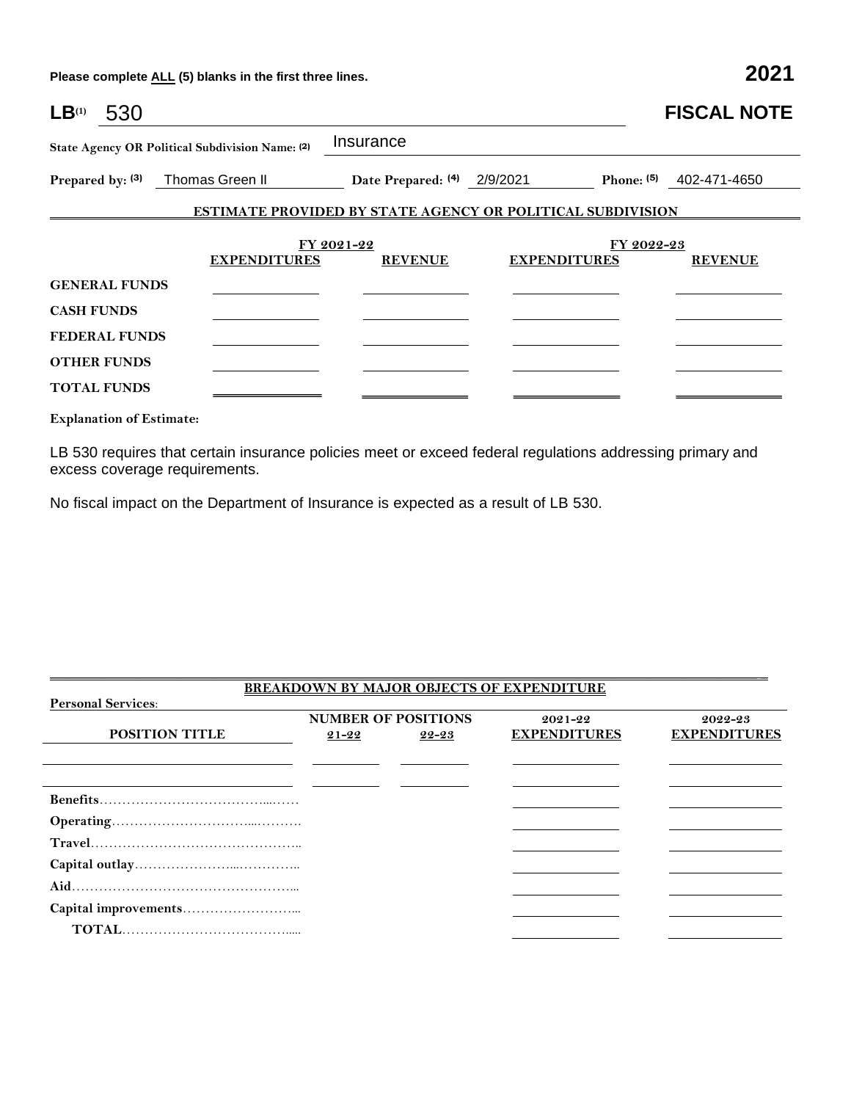**Please complete ALL (5) blanks in the first three lines. 2021**

| $LB^{(1)}$<br>530    |                                                 |                             |                                                                   | <b>FISCAL NOTE</b>        |  |
|----------------------|-------------------------------------------------|-----------------------------|-------------------------------------------------------------------|---------------------------|--|
|                      | State Agency OR Political Subdivision Name: (2) | Insurance                   |                                                                   |                           |  |
|                      | Prepared by: (3) Thomas Green II                | Date Prepared: (4) 2/9/2021 |                                                                   | Phone: $(5)$ 402-471-4650 |  |
|                      |                                                 |                             | <b>ESTIMATE PROVIDED BY STATE AGENCY OR POLITICAL SUBDIVISION</b> |                           |  |
|                      |                                                 | FY 2021-22                  |                                                                   | FY 2022-23                |  |
|                      | <b>EXPENDITURES</b>                             | <b>REVENUE</b>              | <b>EXPENDITURES</b>                                               | <b>REVENUE</b>            |  |
| <b>GENERAL FUNDS</b> |                                                 |                             |                                                                   |                           |  |
| <b>CASH FUNDS</b>    |                                                 |                             |                                                                   |                           |  |
| <b>FEDERAL FUNDS</b> |                                                 |                             |                                                                   |                           |  |
| <b>OTHER FUNDS</b>   |                                                 |                             |                                                                   |                           |  |
| <b>TOTAL FUNDS</b>   |                                                 |                             |                                                                   |                           |  |
|                      |                                                 |                             |                                                                   |                           |  |

**Explanation of Estimate:**

LB 530 requires that certain insurance policies meet or exceed federal regulations addressing primary and excess coverage requirements.

No fiscal impact on the Department of Insurance is expected as a result of LB 530.

## **BREAKDOWN BY MAJOR OBJECTS OF EXPENDITURE Personal Services**: **POSITION TITLE NUMBER OF POSITIONS 21-22 22-23 2021-22 EXPENDITURES 2022-23 EXPENDITURES Benefits**………………………………...…… **Operating**…………………………...………. **Travel**……………………………………….. **Capital outlay**…………………...………….. **Aid**…………………………………………... **Capital improvements**……………………...  **TOTAL**……………………………….....

 $\overline{\phantom{a}}$  , and the state of the state of the state of the state of the state of the state of the state of the state of the state of the state of the state of the state of the state of the state of the state of the stat